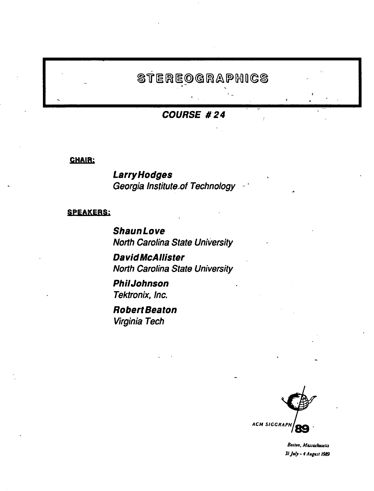# **STEREOGRAPHICS**

**COURSE #24** 

CHAIR;

**Larry Hodges**  Georgia lnstitute.of Technology

#### SPEAKERS;

**ShaunLove**  North Carolina State University

**David McAllister**  North Carolina State University

**Phi/Johnson**  Tektronix, Inc.

**Robert Beaton**  Virginia Tech



Boston, Massachusetts *31 Jrd.J -I A•l••t/989*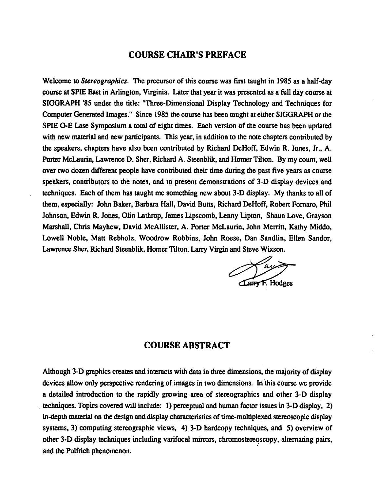## **COURSE CHAIR'S PREFACE**

Welcome to *Stereographics*. The precursor of this course was first taught in 1985 as a half-day course at SPIE East in Arlington, Virginia. Later that year it was presented as a full day course at SIGGRAPH '85 under the title: "Three-Dimensional Display Technology and Techniques for Computer Generated Images." Since 1985 the course has been taught at either SIGGRAPH or the SPIE 0-E Lase Symposium a total of eight times. Each version of the course has been updated with new material and new participants. This year, in addition to the note chapters contributed by the speakers, chapters have also been contributed by Richard DeHoff, Edwin R. Jones, Jr., A. Porter McLaurin, Lawrence D. Sher, Richard A. Steenblik, and Homer Tilton. By my count, well over two dozen different people have contributed their time during the past five years as course speakers, contributors to the notes, and to present demonstrations of 3-D display devices and techniques. Each of them has taught me something new about 3-D display. My thanks to all of them, especially: John Baker, Barbara Hall, David Butts, Richard DeHoff, Roben Fomaro, Phil Johnson, Edwin R. Jones, Olin Lathrop, James Lipscomb, Lenny Lipton, Shaun Love, Grayson Marshall, Chris Mayhew, David McAllister, A. Poner McLaurin, John Merritt, Kathy Middo, Lowell Noble, Matt Rebholz, Woodrow Robbins, John Roese, Dan Sandlin, Ellen Sandor, Lawrence Sher, Richard Steenblik, Homer Tilton, Larry Virgin and Steve Wixson.

Larry F. Hodges

## **COURSE ABSTRACT**

Although 3-D graphics creates and interacts with data in three dimensions, the majority of display devices allow only perspective rendering of images in two dimensions. In this course we provide a detailed introduction to the rapidly growing area of stereographics and other 3-D display . techniques. Topics covered will include: 1) perceptual and human factor issues in 3-D display, 2) in-depth material on the design and display characteristics of time-multiplexed stereoscopic display systems, 3) computing stereographic views, 4) 3-D hardcopy techniques, and 5) overview of other 3-D display techniques including varifocal mirrors, chromostereoscopy, alternating pairs, and the Pulfrich phenomenon.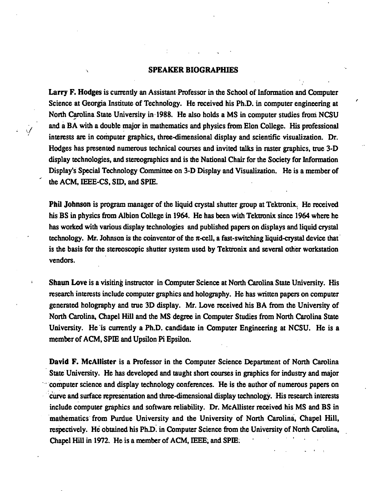#### SPEAKER BIOGRAPHIES

Larry F. Hodges is currently an Assistant Professor in the School of lnfonnation and Computer Science at Georgia Institute of Technology. He received his Ph.D. in computer engineering at North Carolina State University in 1988. He also holds a MS in computer studies from NCSU and a BA with a double major in mathematics and physics from Elon College. His professional interests are in computer graphics, three-dimensional display and scientific visualization. Dr. Hodges has presented numerous technical courses and invited talks in raster graphics, true 3-D display technologies, and stereographics and is the National Chair for the Society for Infonnation Display's Special Technology Committee on 3-D Display and Visualization. He is a member of the ACM, IEEE-CS, SID, and SPIE.

Phil Johnson is program manager of the liquid crystal shutter group at Tektronix. He received his BS in physics from Albion College in 1964. He has been with Tektronix since 1964 where he has worked with various display technologies and published papers on displays and liquid crystal technology. Mr. Johnson is the coinventor of the  $\pi$ -cell, a fast-switching liquid-crystal device that is the basis for the stereoscopic shutter system used by Tektronix and several other workstation vendors.

Sbaun Love is a visiting instructor in Computer Science at North Carolina State University. His research interests include computer graphics and holography. He has written papers on computer generated holography and true 3D display. Mr. Love received his BA from the University of North Carolina, Chapel Hill and the MS degree in Computer Studies from North Carolina State University. He is currently a Ph.D. candidate in Computer Engineering at NCSU. He is a member of ACM, SPIE and Upsilon Pi Epsilon.

David F. McAllister is a Professor in the Computer Science Department of North Carolina State University. He has developed and taught short courses in graphics for industry and major computer science and display technology conferences. He is the author of numerous papers on curve and surface representation and three-dimensional display technology. His research interests include computer graphics and software reliability. Dr. McAllister received his MS and BS in mathematics from Purdue University and the University of North Carolina, Chapel Hill, respectively. He obtained his Ph.D. in Computer Science from the University of North Carolina, Chapel Hill in 1972. He is a member of ACM, IEEE; and SPIE:

 $\cdot$  :  $\cdot$  :  $\cdot$  :

,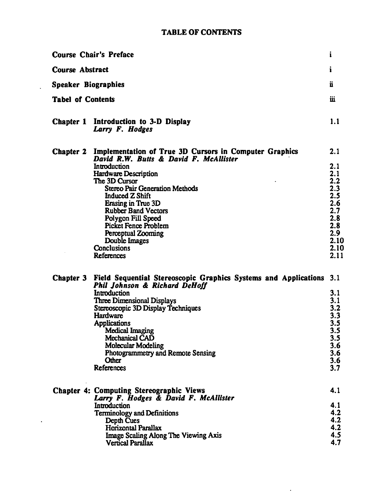## TABLE OF CONTENTS

 $\hat{\mathbf{r}}$ 

 $\ddot{\phantom{0}}$ 

| <b>Course Chair's Preface</b>                   |                                                                                                                                                                                                                                                                                                                                                                                                                                          |                                                                                              |  |
|-------------------------------------------------|------------------------------------------------------------------------------------------------------------------------------------------------------------------------------------------------------------------------------------------------------------------------------------------------------------------------------------------------------------------------------------------------------------------------------------------|----------------------------------------------------------------------------------------------|--|
| <b>Course Abstract</b>                          |                                                                                                                                                                                                                                                                                                                                                                                                                                          |                                                                                              |  |
| Speaker Biographies<br><b>Tabel of Contents</b> |                                                                                                                                                                                                                                                                                                                                                                                                                                          |                                                                                              |  |
|                                                 |                                                                                                                                                                                                                                                                                                                                                                                                                                          |                                                                                              |  |
|                                                 | Chapter 2 Implementation of True 3D Cursors in Computer Graphics<br>David R.W. Butts & David F. McAllister<br>Introduction<br><b>Hardware Description</b><br>The 3D Cursor<br><b>Stereo Pair Generation Methods</b><br><b>Induced Z Shift</b><br>Erasing in True 3D<br><b>Rubber Band Vectors</b><br>Polygon Fill Speed<br><b>Picket Fence Problem</b><br>Perceptual Zooming<br>Double Images<br><b>Conclusions</b><br><b>References</b> | 2.1<br>2.1<br>2.1<br>$2.23$<br>$2.35$<br>$2.67$<br>2.8<br>2.8<br>2.9<br>2.10<br>2.10<br>2.11 |  |
|                                                 | Chapter 3 Field Sequential Stereoscopic Graphics Systems and Applications 3.1<br>Phil Johnson & Richard DeHoff<br>Introduction<br><b>Three Dimensional Displays</b><br>Stereoscopic 3D Display Techniques<br>Hardware<br><b>Applications</b><br><b>Medical Imaging</b><br>Mechanical CAD<br><b>Molecular Modeling</b><br>Photogrammetry and Remote Sensing<br>Other<br>References                                                        | 3.1<br>3.1<br>3.2<br>3.3<br>3.5<br>$3.5\,$<br>3.5<br>3.6<br>3.6<br>3.6<br>3.7                |  |
|                                                 | <b>Chapter 4: Computing Stereographic Views</b><br>Larry F. Hodges & David F. McAllister<br>Introduction<br><b>Terminology and Definitions</b><br>Depth Cues<br><b>Horizontal Parallax</b><br><b>Image Scaling Along The Viewing Axis</b><br><b>Vertical Parallax</b>                                                                                                                                                                    | 4.1<br>4.1<br>4.2<br>4.2<br>4.2<br>4.5<br>4.7                                                |  |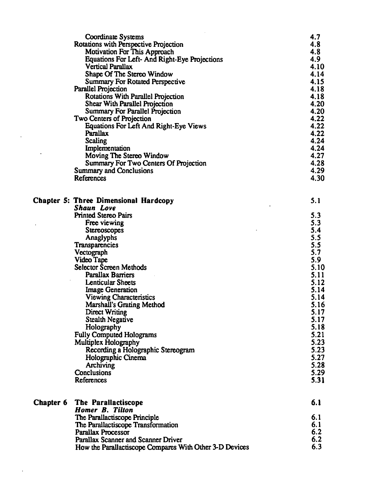|           | <b>Coordinate Systems</b><br>Rotations with Perspective Projection<br><b>Motivation For This Approach</b><br>Equations For Left- And Right-Eye Projections<br><b>Vertical Parallax</b><br>Shape Of The Stereo Window<br><b>Summary For Rotated Perspective</b><br><b>Parallel Projection</b><br><b>Rotations With Parallel Projection</b><br>Shear With Parallel Projection<br><b>Summary For Parallel Projection</b><br>Two Centers of Projection<br><b>Equations For Left And Right-Eye Views</b><br>Parallax<br>Scaling<br>Implementation<br>Moving The Stereo Window<br>Summary For Two Centers Of Projection<br><b>Summary and Conclusions</b><br>References | 4.7<br>4.8<br>4.8<br>4.9<br>4.10<br>4.14<br>4.15<br>4.18<br>4.18<br>4.20<br>4.20<br>4.22<br>4.22<br>4.22<br>4.24<br>4.24<br>4.27<br>4.28<br>4.29<br>4.30 |
|-----------|-------------------------------------------------------------------------------------------------------------------------------------------------------------------------------------------------------------------------------------------------------------------------------------------------------------------------------------------------------------------------------------------------------------------------------------------------------------------------------------------------------------------------------------------------------------------------------------------------------------------------------------------------------------------|----------------------------------------------------------------------------------------------------------------------------------------------------------|
|           | Chapter 5: Three Dimensional Hardcopy                                                                                                                                                                                                                                                                                                                                                                                                                                                                                                                                                                                                                             | 5.1                                                                                                                                                      |
|           | <b>Shaun Love</b><br><b>Printed Stereo Pairs</b>                                                                                                                                                                                                                                                                                                                                                                                                                                                                                                                                                                                                                  | 5.3                                                                                                                                                      |
|           | Free viewing                                                                                                                                                                                                                                                                                                                                                                                                                                                                                                                                                                                                                                                      | 5.3                                                                                                                                                      |
|           | <b>Stereoscopes</b>                                                                                                                                                                                                                                                                                                                                                                                                                                                                                                                                                                                                                                               | 5.4                                                                                                                                                      |
|           | Anaglyphs                                                                                                                                                                                                                                                                                                                                                                                                                                                                                                                                                                                                                                                         | 5.5                                                                                                                                                      |
|           | <b>Transparencies</b>                                                                                                                                                                                                                                                                                                                                                                                                                                                                                                                                                                                                                                             | 5.5                                                                                                                                                      |
|           | Vectograph                                                                                                                                                                                                                                                                                                                                                                                                                                                                                                                                                                                                                                                        | 5.7                                                                                                                                                      |
|           | Video Tape                                                                                                                                                                                                                                                                                                                                                                                                                                                                                                                                                                                                                                                        | 5.9                                                                                                                                                      |
|           | Selector Screen Methods                                                                                                                                                                                                                                                                                                                                                                                                                                                                                                                                                                                                                                           | 5.10                                                                                                                                                     |
|           | <b>Parallax Barriers</b>                                                                                                                                                                                                                                                                                                                                                                                                                                                                                                                                                                                                                                          | 5.11                                                                                                                                                     |
|           | <b>Lenticular Sheets</b>                                                                                                                                                                                                                                                                                                                                                                                                                                                                                                                                                                                                                                          | 5.12                                                                                                                                                     |
|           | <b>Image Generation</b>                                                                                                                                                                                                                                                                                                                                                                                                                                                                                                                                                                                                                                           | 5.14                                                                                                                                                     |
|           | <b>Viewing Characteristics</b>                                                                                                                                                                                                                                                                                                                                                                                                                                                                                                                                                                                                                                    | 5.14<br>5.16                                                                                                                                             |
|           | Marshall's Grating Method<br><b>Direct Writing</b>                                                                                                                                                                                                                                                                                                                                                                                                                                                                                                                                                                                                                | 5.17                                                                                                                                                     |
|           | <b>Stealth Negative</b>                                                                                                                                                                                                                                                                                                                                                                                                                                                                                                                                                                                                                                           | 5.17                                                                                                                                                     |
|           | Holography                                                                                                                                                                                                                                                                                                                                                                                                                                                                                                                                                                                                                                                        | 5.18                                                                                                                                                     |
|           | <b>Fully Computed Holograms</b>                                                                                                                                                                                                                                                                                                                                                                                                                                                                                                                                                                                                                                   | 5.21                                                                                                                                                     |
|           | Multiplex Holography                                                                                                                                                                                                                                                                                                                                                                                                                                                                                                                                                                                                                                              | 5.23                                                                                                                                                     |
|           | Recording a Holographic Stereogram                                                                                                                                                                                                                                                                                                                                                                                                                                                                                                                                                                                                                                | 5.23                                                                                                                                                     |
|           | Holographic Cinema                                                                                                                                                                                                                                                                                                                                                                                                                                                                                                                                                                                                                                                | 5.27                                                                                                                                                     |
|           | Archiving                                                                                                                                                                                                                                                                                                                                                                                                                                                                                                                                                                                                                                                         | 5.28                                                                                                                                                     |
|           | Conclusions                                                                                                                                                                                                                                                                                                                                                                                                                                                                                                                                                                                                                                                       | 5.29                                                                                                                                                     |
|           | References                                                                                                                                                                                                                                                                                                                                                                                                                                                                                                                                                                                                                                                        | 5.31                                                                                                                                                     |
| Chapter 6 | The Parallactiscope                                                                                                                                                                                                                                                                                                                                                                                                                                                                                                                                                                                                                                               | 6.1                                                                                                                                                      |
|           | <b>Homer B. Tilton</b>                                                                                                                                                                                                                                                                                                                                                                                                                                                                                                                                                                                                                                            |                                                                                                                                                          |
|           | The Parallactiscope Principle                                                                                                                                                                                                                                                                                                                                                                                                                                                                                                                                                                                                                                     | 6.1                                                                                                                                                      |
|           | The Parallactiscope Transformation                                                                                                                                                                                                                                                                                                                                                                                                                                                                                                                                                                                                                                | 6.1                                                                                                                                                      |
|           | <b>Parallax Processor</b>                                                                                                                                                                                                                                                                                                                                                                                                                                                                                                                                                                                                                                         | 6.2                                                                                                                                                      |
|           | Parallax Scanner and Scanner Driver                                                                                                                                                                                                                                                                                                                                                                                                                                                                                                                                                                                                                               | 6.2                                                                                                                                                      |
|           | How the Parallactiscope Compares With Other 3-D Devices                                                                                                                                                                                                                                                                                                                                                                                                                                                                                                                                                                                                           | 6.3                                                                                                                                                      |

 $\ddot{\phantom{a}}$ 

 $\ddot{\phantom{0}}$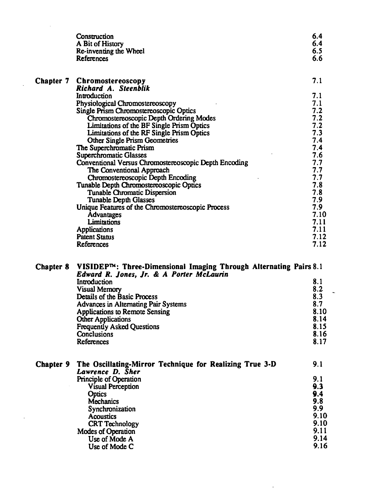|                  | Construction<br>A Bit of History<br>Re-inventing the Wheel<br>References                                       | 6.4<br>6.4<br>6.5<br>6.6 |
|------------------|----------------------------------------------------------------------------------------------------------------|--------------------------|
|                  | <b>Chapter 7 Chromostereoscopy</b><br>Richard A. Steenblik                                                     | 7.1                      |
|                  | Introduction                                                                                                   | 7.1                      |
|                  | Physiological Chromostereoscopy                                                                                | 7.1                      |
|                  | Single Prism Chromostereoscopic Optics                                                                         | 7.2                      |
|                  | Chromostereoscopic Depth Ordering Modes<br>Limitations of the BF Single Prism Optics                           | 7.2<br>7.2               |
|                  | Limitations of the RF Single Prism Optics                                                                      | 7.3                      |
|                  | <b>Other Single Prism Geometries</b>                                                                           | 7.4                      |
|                  | The Superchromatic Prism<br><b>Superchromatic Glasses</b>                                                      | 7.4<br>7.6               |
|                  | Conventional Versus Chromostereoscopic Depth Encoding                                                          | 7.7                      |
|                  | The Conventional Approach                                                                                      | 7.7                      |
|                  | Chromostereoscopic Depth Encoding                                                                              | 7.7                      |
|                  | Tunable Depth Chromostereoscopic Optics<br><b>Tunable Chromatic Dispersion</b>                                 | 7.8<br>7.8               |
|                  | <b>Tunable Depth Glasses</b>                                                                                   | 7.9                      |
|                  | Unique Features of the Chromostereoscopic Process                                                              | 7.9                      |
|                  | Advantages<br>Limitations                                                                                      | 7.10<br>7.11             |
|                  | <b>Applications</b>                                                                                            | 7.11                     |
|                  | <b>Patent Status</b>                                                                                           | 7.12                     |
|                  | References                                                                                                     | 7.12                     |
| <b>Chapter 8</b> | VISIDEPTM: Three-Dimensional Imaging Through Alternating Pairs 8.1<br>Edward R. Jones, Jr. & A Porter McLaurin |                          |
|                  | Introduction                                                                                                   | 8.1                      |
|                  | <b>Visual Memory</b>                                                                                           | 8.2                      |
|                  | Details of the Basic Process<br><b>Advances in Alternating Pair Systems</b>                                    | 8.3<br>8.7               |
|                  | <b>Applications to Remote Sensing</b>                                                                          | 8.10                     |
|                  | <b>Other Applications</b>                                                                                      | 8.14                     |
|                  | <b>Frequently Asked Questions</b><br>Conclusions                                                               | 8.15<br>8.16             |
|                  | References                                                                                                     | 8.17                     |
|                  | The Oscillating-Mirror Technique for Realizing True 3-D                                                        | 9.1                      |
| <b>Chapter 9</b> | Lawrence D. Sher                                                                                               |                          |
|                  | Principle of Operation                                                                                         | 9.1                      |
|                  | <b>Visual Perception</b>                                                                                       | 9.3                      |
|                  | <b>Optics</b><br><b>Mechanics</b>                                                                              | 9.4<br>9.8               |
|                  | Synchronization                                                                                                | 9.9                      |
|                  | <b>Acoustics</b>                                                                                               | 9.10                     |
|                  | <b>CRT Technology</b>                                                                                          | 9.10<br>9.11             |
|                  | <b>Modes of Operation</b><br>Use of Mode A                                                                     | 9.14                     |
|                  | Use of Mode C                                                                                                  | 9.16                     |

 $\mathcal{A}^{\mathcal{A}}$